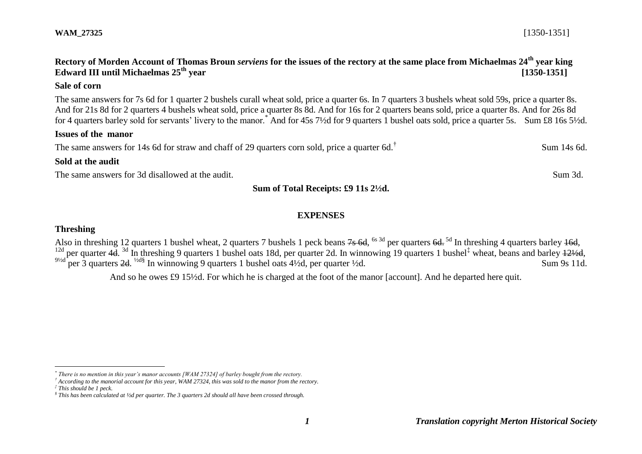# *1 Translation copyright Merton Historical Society*

## **WAM\_27325** [1350-1351]

# **Rectory of Morden Account of Thomas Broun** *serviens* **for the issues of the rectory at the same place from Michaelmas 24th year king Edward III until Michaelmas 25th year [1350-1351]**

### **Sale of corn**

The same answers for 7s 6d for 1 quarter 2 bushels curall wheat sold, price a quarter 6s. In 7 quarters 3 bushels wheat sold 59s, price a quarter 8s. And for 21s 8d for 2 quarters 4 bushels wheat sold, price a quarter 8s 8d. And for 16s for 2 quarters beans sold, price a quarter 8s. And for 26s 8d for 4 quarters barley sold for servants' livery to the manor.\* And for 45s 7½d for 9 quarters 1 bushel oats sold, price a quarter 5s. Sum £8 16s 5½d.

#### **Issues of the manor**

The same answers for 14s 6d for straw and chaff of 29 quarters corn sold, price a quarter 6d.<sup>†</sup>

### **Sold at the audit**

The same answers for 3d disallowed at the audit. Sum 3d. Sum 3d.

**Sum of Total Receipts: £9 11s 2½d.**

### **EXPENSES**

### **Threshing**

Also in threshing 12 quarters 1 bushel wheat, 2 quarters 7 bushels 1 peck beans 7s 6d, <sup>6s 3d</sup> per quarters 6d. <sup>5d</sup> In threshing 4 quarters barley 46d, <sup>12d</sup> per quarter 4d.<sup>3d</sup> In threshing 9 quarters 1 bushel oats 18d, per quarter 2d. In winnowing 19 quarters 1 bushel<sup>‡</sup> wheat, beans and barley  $\frac{121}{2}$ d, <sup>91/2d</sup> per 3 quarters 2d. <sup>1/2d§</sup> In winnowing 9 quarters 1 bushel oats 41/2d, per quarter 1/2d. Sum 9s 11d.

And so he owes £9 15½d. For which he is charged at the foot of the manor [account]. And he departed here quit.

1

Sum 14s 6d.

*<sup>\*</sup> There is no mention in this year's manor accounts [WAM 27324] of barley bought from the rectory.*

*<sup>†</sup> According to the manorial account for this year, WAM 27324, this was sold to the manor from the rectory.*

*<sup>‡</sup> This should be 1 peck.*

*<sup>§</sup> This has been calculated at ½d per quarter. The 3 quarters 2d should all have been crossed through.*